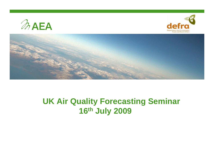





## **UK Air Quality Forecasting Seminar 16th July 2009**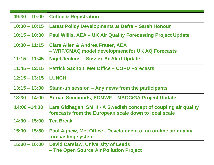| $09:30 - 10:00$ | <b>Coffee &amp; Registration</b>                                                                                         |
|-----------------|--------------------------------------------------------------------------------------------------------------------------|
| $10:00 - 10:15$ | Latest Policy Developments at Defra - Sarah Honour                                                                       |
| $10:15 - 10:30$ | <b>Paul Willis, AEA - UK Air Quality Forecasting Project Update</b>                                                      |
| $10:30 - 11:15$ | <b>Clare Allen &amp; Andrea Fraser, AEA</b><br>- WRF/CMAQ model development for UK AQ Forecasts                          |
| $11:15 - 11:45$ | <b>Nigel Jenkins - Sussex AirAlert Update</b>                                                                            |
| $11:45 - 12:15$ | <b>Patrick Sachon, Met Office – COPD Forecasts</b>                                                                       |
| $12:15 - 13:15$ | <b>LUNCH</b>                                                                                                             |
| $13:15 - 13:30$ | Stand-up session – Any news from the participants                                                                        |
| $13:30 - 14:00$ | <b>Adrian Simmonds, ECMWF - MACC/GA Project Update</b>                                                                   |
| $14:00 - 14:30$ | Lars Gidhagen, SMHI - A Swedish concept of coupling air quality<br>forecasts from the European scale down to local scale |
| $14:30 - 15:00$ | <b>Tea Break</b>                                                                                                         |
| $15:00 - 15:30$ | Paul Agnew, Met Office - Development of an on-line air quality<br>forecasting system                                     |
| $15:30 - 16:00$ | <b>David Carslaw, University of Leeds</b><br>- The Open Source Air Pollution Project                                     |